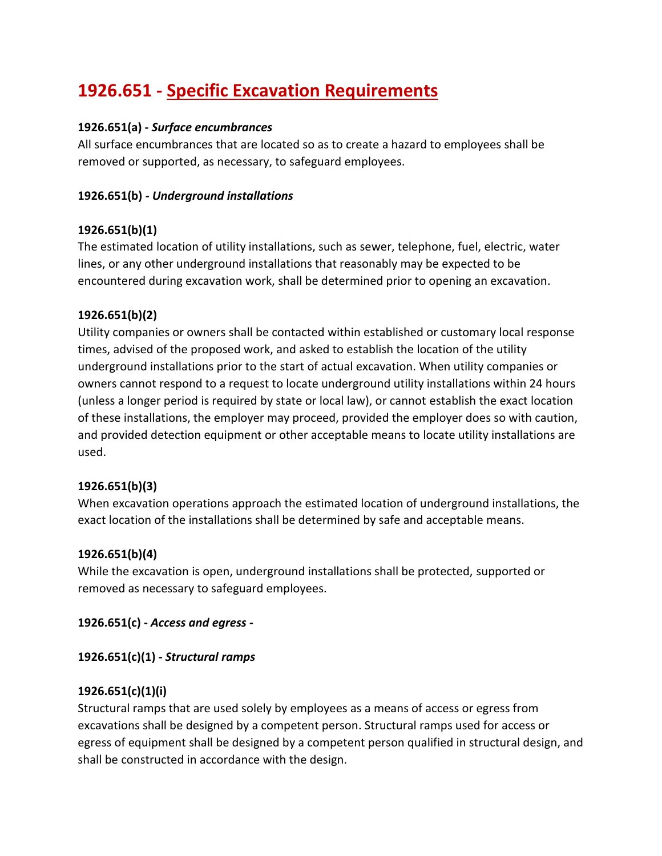# **1926.651 - Specific Excavation Requirements**

### **1926.651(a) -** *Surface encumbrances*

All surface encumbrances that are located so as to create a hazard to employees shall be removed or supported, as necessary, to safeguard employees.

### **1926.651(b) -** *Underground installations*

### **1926.651(b)(1)**

The estimated location of utility installations, such as sewer, telephone, fuel, electric, water lines, or any other underground installations that reasonably may be expected to be encountered during excavation work, shall be determined prior to opening an excavation.

### **1926.651(b)(2)**

Utility companies or owners shall be contacted within established or customary local response times, advised of the proposed work, and asked to establish the location of the utility underground installations prior to the start of actual excavation. When utility companies or owners cannot respond to a request to locate underground utility installations within 24 hours (unless a longer period is required by state or local law), or cannot establish the exact location of these installations, the employer may proceed, provided the employer does so with caution, and provided detection equipment or other acceptable means to locate utility installations are used.

#### **1926.651(b)(3)**

When excavation operations approach the estimated location of underground installations, the exact location of the installations shall be determined by safe and acceptable means.

#### **1926.651(b)(4)**

While the excavation is open, underground installations shall be protected, supported or removed as necessary to safeguard employees.

**1926.651(c) -** *Access and egress -*

**1926.651(c)(1) -** *Structural ramps*

#### **1926.651(c)(1)(i)**

Structural ramps that are used solely by employees as a means of access or egress from excavations shall be designed by a competent person. Structural ramps used for access or egress of equipment shall be designed by a competent person qualified in structural design, and shall be constructed in accordance with the design.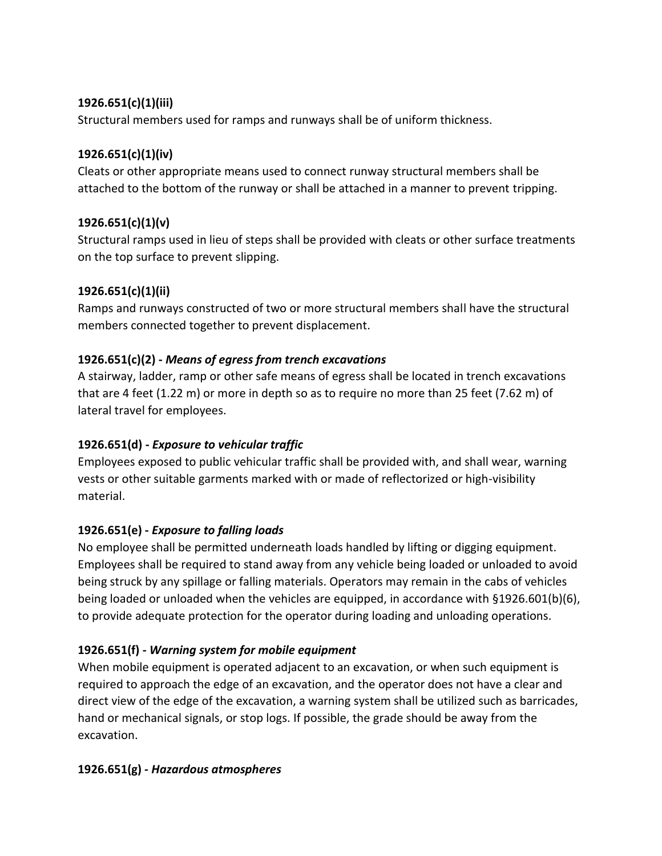### **1926.651(c)(1)(iii)**

Structural members used for ramps and runways shall be of uniform thickness.

# **1926.651(c)(1)(iv)**

Cleats or other appropriate means used to connect runway structural members shall be attached to the bottom of the runway or shall be attached in a manner to prevent tripping.

# **1926.651(c)(1)(v)**

Structural ramps used in lieu of steps shall be provided with cleats or other surface treatments on the top surface to prevent slipping.

# **1926.651(c)(1)(ii)**

Ramps and runways constructed of two or more structural members shall have the structural members connected together to prevent displacement.

# **1926.651(c)(2) -** *Means of egress from trench excavations*

A stairway, ladder, ramp or other safe means of egress shall be located in trench excavations that are 4 feet (1.22 m) or more in depth so as to require no more than 25 feet (7.62 m) of lateral travel for employees.

# **1926.651(d) -** *Exposure to vehicular traffic*

Employees exposed to public vehicular traffic shall be provided with, and shall wear, warning vests or other suitable garments marked with or made of reflectorized or high-visibility material.

# **1926.651(e) -** *Exposure to falling loads*

No employee shall be permitted underneath loads handled by lifting or digging equipment. Employees shall be required to stand away from any vehicle being loaded or unloaded to avoid being struck by any spillage or falling materials. Operators may remain in the cabs of vehicles being loaded or unloaded when the vehicles are equipped, in accordance with §1926.601(b)(6), to provide adequate protection for the operator during loading and unloading operations.

# **1926.651(f) -** *Warning system for mobile equipment*

When mobile equipment is operated adjacent to an excavation, or when such equipment is required to approach the edge of an excavation, and the operator does not have a clear and direct view of the edge of the excavation, a warning system shall be utilized such as barricades, hand or mechanical signals, or stop logs. If possible, the grade should be away from the excavation.

# **1926.651(g) -** *Hazardous atmospheres*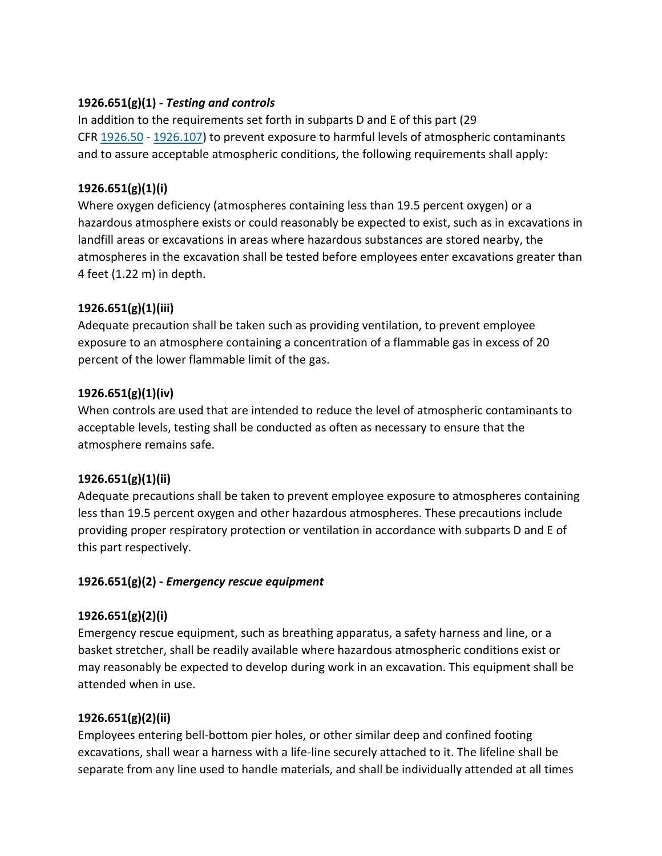## **1926.651(g)(1) -** *Testing and controls*

In addition to the requirements set forth in subparts D and E of this part (29 CFR [1926.50](https://up.codes/viewer/osha-1926-construction/chapter/D/occupational-health-and-environmental-controls#1926.50) - [1926.107\)](https://up.codes/viewer/osha-1926-construction/chapter/E/personal-protective-and-life-saving-equipment#1926.107) to prevent exposure to harmful levels of atmospheric contaminants and to assure acceptable atmospheric conditions, the following requirements shall apply:

# **1926.651(g)(1)(i)**

Where oxygen deficiency (atmospheres containing less than 19.5 percent oxygen) or a hazardous atmosphere exists or could reasonably be expected to exist, such as in excavations in landfill areas or excavations in areas where hazardous substances are stored nearby, the atmospheres in the excavation shall be tested before employees enter excavations greater than 4 feet (1.22 m) in depth.

# **1926.651(g)(1)(iii)**

Adequate precaution shall be taken such as providing ventilation, to prevent employee exposure to an atmosphere containing a concentration of a flammable gas in excess of 20 percent of the lower flammable limit of the gas.

# **1926.651(g)(1)(iv)**

When controls are used that are intended to reduce the level of atmospheric contaminants to acceptable levels, testing shall be conducted as often as necessary to ensure that the atmosphere remains safe.

# **1926.651(g)(1)(ii)**

Adequate precautions shall be taken to prevent employee exposure to atmospheres containing less than 19.5 percent oxygen and other hazardous atmospheres. These precautions include providing proper respiratory protection or ventilation in accordance with subparts D and E of this part respectively.

### **1926.651(g)(2) -** *Emergency rescue equipment*

### **1926.651(g)(2)(i)**

Emergency rescue equipment, such as breathing apparatus, a safety harness and line, or a basket stretcher, shall be readily available where hazardous atmospheric conditions exist or may reasonably be expected to develop during work in an excavation. This equipment shall be attended when in use.

# **1926.651(g)(2)(ii)**

Employees entering bell-bottom pier holes, or other similar deep and confined footing excavations, shall wear a harness with a life-line securely attached to it. The lifeline shall be separate from any line used to handle materials, and shall be individually attended at all times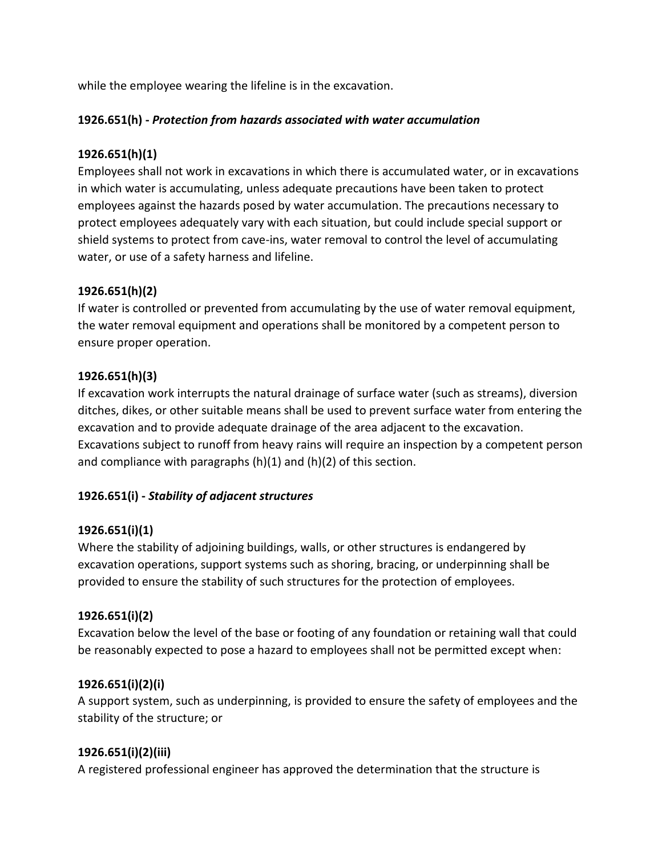while the employee wearing the lifeline is in the excavation.

### **1926.651(h) -** *Protection from hazards associated with water accumulation*

### **1926.651(h)(1)**

Employees shall not work in excavations in which there is accumulated water, or in excavations in which water is accumulating, unless adequate precautions have been taken to protect employees against the hazards posed by water accumulation. The precautions necessary to protect employees adequately vary with each situation, but could include special support or shield systems to protect from cave-ins, water removal to control the level of accumulating water, or use of a safety harness and lifeline.

### **1926.651(h)(2)**

If water is controlled or prevented from accumulating by the use of water removal equipment, the water removal equipment and operations shall be monitored by a competent person to ensure proper operation.

### **1926.651(h)(3)**

If excavation work interrupts the natural drainage of surface water (such as streams), diversion ditches, dikes, or other suitable means shall be used to prevent surface water from entering the excavation and to provide adequate drainage of the area adjacent to the excavation. Excavations subject to runoff from heavy rains will require an inspection by a competent person and compliance with paragraphs  $(h)(1)$  and  $(h)(2)$  of this section.

### **1926.651(i) -** *Stability of adjacent structures*

#### **1926.651(i)(1)**

Where the stability of adjoining buildings, walls, or other structures is endangered by excavation operations, support systems such as shoring, bracing, or underpinning shall be provided to ensure the stability of such structures for the protection of employees.

#### **1926.651(i)(2)**

Excavation below the level of the base or footing of any foundation or retaining wall that could be reasonably expected to pose a hazard to employees shall not be permitted except when:

#### **1926.651(i)(2)(i)**

A support system, such as underpinning, is provided to ensure the safety of employees and the stability of the structure; or

#### **1926.651(i)(2)(iii)**

A registered professional engineer has approved the determination that the structure is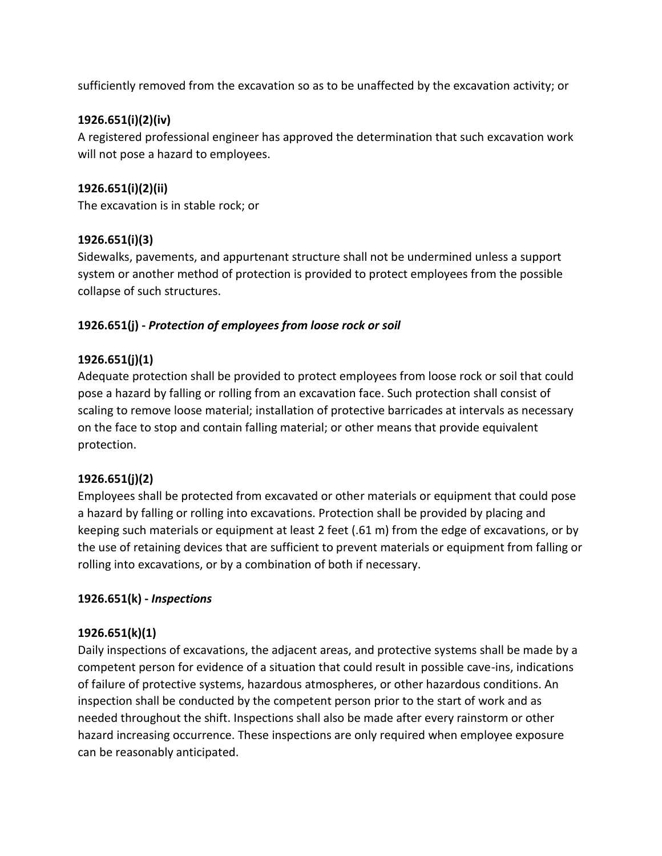sufficiently removed from the excavation so as to be unaffected by the excavation activity; or

### **1926.651(i)(2)(iv)**

A registered professional engineer has approved the determination that such excavation work will not pose a hazard to employees.

### **1926.651(i)(2)(ii)**

The excavation is in stable rock; or

### **1926.651(i)(3)**

Sidewalks, pavements, and appurtenant structure shall not be undermined unless a support system or another method of protection is provided to protect employees from the possible collapse of such structures.

### **1926.651(j) -** *Protection of employees from loose rock or soil*

### **1926.651(j)(1)**

Adequate protection shall be provided to protect employees from loose rock or soil that could pose a hazard by falling or rolling from an excavation face. Such protection shall consist of scaling to remove loose material; installation of protective barricades at intervals as necessary on the face to stop and contain falling material; or other means that provide equivalent protection.

### **1926.651(j)(2)**

Employees shall be protected from excavated or other materials or equipment that could pose a hazard by falling or rolling into excavations. Protection shall be provided by placing and keeping such materials or equipment at least 2 feet (.61 m) from the edge of excavations, or by the use of retaining devices that are sufficient to prevent materials or equipment from falling or rolling into excavations, or by a combination of both if necessary.

#### **1926.651(k) -** *Inspections*

#### **1926.651(k)(1)**

Daily inspections of excavations, the adjacent areas, and protective systems shall be made by a competent person for evidence of a situation that could result in possible cave-ins, indications of failure of protective systems, hazardous atmospheres, or other hazardous conditions. An inspection shall be conducted by the competent person prior to the start of work and as needed throughout the shift. Inspections shall also be made after every rainstorm or other hazard increasing occurrence. These inspections are only required when employee exposure can be reasonably anticipated.